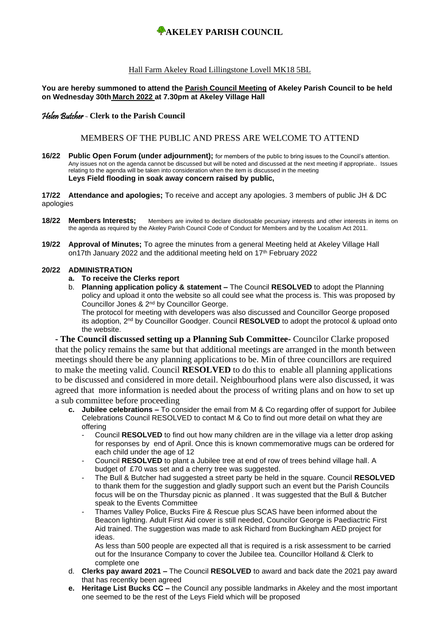# **AKELEY PARISH COUNCIL**

### Hall Farm Akeley Road Lillingstone Lovell MK18 5BL

#### **You are hereby summoned to attend the Parish Council Meeting of Akeley Parish Council to be held on Wednesday 30th March 2022 at 7.30pm at Akeley Village Hall**

### Helen Butcher - **Clerk to the Parish Council**

### MEMBERS OF THE PUBLIC AND PRESS ARE WELCOME TO ATTEND

**16/22 Public Open Forum (under adjournment);** for members of the public to bring issues to the Council's attention. Any issues not on the agenda cannot be discussed but will be noted and discussed at the next meeting if appropriate.. Issues relating to the agenda will be taken into consideration when the item is discussed in the meeting **Leys Field flooding in soak away concern raised by public,** 

**17/22 Attendance and apologies;** To receive and accept any apologies. 3 members of public JH & DC apologies

- **18/22 Members Interests;** Members are invited to declare disclosable pecuniary interests and other interests in items on the agenda as required by the Akeley Parish Council Code of Conduct for Members and by the Localism Act 2011.
- **19/22 Approval of Minutes;** To agree the minutes from a general Meeting held at Akeley Village Hall on17th January 2022 and the additional meeting held on 17th February 2022

#### **20/22 ADMINISTRATION**

- **a. To receive the Clerks report**
- b. **Planning application policy & statement –** The Council **RESOLVED** to adopt the Planning policy and upload it onto the website so all could see what the process is. This was proposed by Councillor Jones & 2nd by Councillor George.

The protocol for meeting with developers was also discussed and Councillor George proposed its adoption, 2nd by Councillor Goodger. Council **RESOLVED** to adopt the protocol & upload onto the website.

**- The Council discussed setting up a Planning Sub Committee-** Councilor Clarke proposed that the policy remains the same but that additional meetings are arranged in the month between meetings should there be any planning applications to be. Min of three councillors are required to make the meeting valid. Council **RESOLVED** to do this to enable all planning applications to be discussed and considered in more detail. Neighbourhood plans were also discussed, it was agreed that more information is needed about the process of writing plans and on how to set up a sub committee before proceeding

- **c. Jubilee celebrations –** To consider the email from M & Co regarding offer of support for Jubilee Celebrations Council RESOLVED to contact M & Co to find out more detail on what they are offering
	- Council **RESOLVED** to find out how many children are in the village via a letter drop asking for responses by end of April. Once this is known commemorative mugs can be ordered for each child under the age of 12
	- Council **RESOLVED** to plant a Jubilee tree at end of row of trees behind village hall. A budget of £70 was set and a cherry tree was suggested.
	- The Bull & Butcher had suggested a street party be held in the square. Council **RESOLVED** to thank them for the suggestion and gladly support such an event but the Parish Councils focus will be on the Thursday picnic as planned . It was suggested that the Bull & Butcher speak to the Events Committee
	- Thames Valley Police, Bucks Fire & Rescue plus SCAS have been informed about the Beacon lighting. Adult First Aid cover is still needed, Councilor George is Paediactric First Aid trained. The suggestion was made to ask Richard from Buckingham AED project for ideas.

As less than 500 people are expected all that is required is a risk assessment to be carried out for the Insurance Company to cover the Jubilee tea. Councillor Holland & Clerk to complete one

- d. **Clerks pay award 2021 –** The Council **RESOLVED** to award and back date the 2021 pay award that has recentky been agreed
- **e. Heritage List Bucks CC –** the Council any possible landmarks in Akeley and the most important one seemed to be the rest of the Leys Field which will be proposed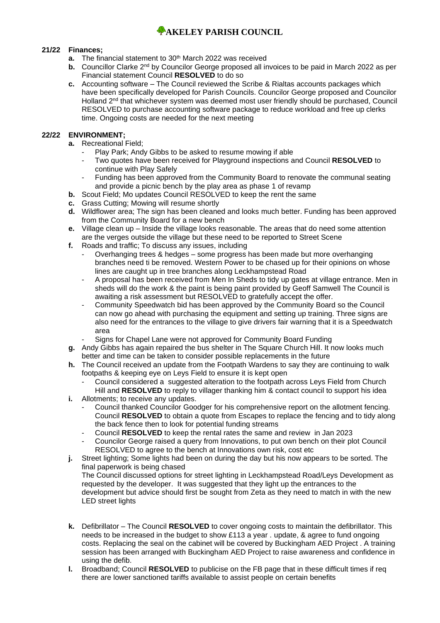## **WAKELEY PARISH COUNCIL**

### **21/22 Finances;**

- **a.** The financial statement to 30<sup>th</sup> March 2022 was received
- **b.** Councillor Clarke 2<sup>nd</sup> by Councilor George proposed all invoices to be paid in March 2022 as per Financial statement Council **RESOLVED** to do so
- **c.** Accounting software The Council reviewed the Scribe & Rialtas accounts packages which have been specifically developed for Parish Councils. Councilor George proposed and Councilor Holland 2<sup>nd</sup> that whichever system was deemed most user friendly should be purchased, Council RESOLVED to purchase accounting software package to reduce workload and free up clerks time. Ongoing costs are needed for the next meeting

### **22/22 ENVIRONMENT;**

- **a.** Recreational Field;
	- Play Park: Andy Gibbs to be asked to resume mowing if able
	- Two quotes have been received for Playground inspections and Council **RESOLVED** to continue with Play Safely
	- Funding has been approved from the Community Board to renovate the communal seating and provide a picnic bench by the play area as phase 1 of revamp
- **b.** Scout Field; Mo updates Council RESOLVED to keep the rent the same
- **c.** Grass Cutting; Mowing will resume shortly
- **d.** Wildflower area; The sign has been cleaned and looks much better. Funding has been approved from the Community Board for a new bench
- **e.** Village clean up Inside the village looks reasonable. The areas that do need some attention are the verges outside the village but these need to be reported to Street Scene
- **f.** Roads and traffic; To discuss any issues, including
	- Overhanging trees & hedges some progress has been made but more overhanging branches need ti be removed. Western Power to be chased up for their opinions on whose lines are caught up in tree branches along Leckhampstead Road
	- A proposal has been received from Men In Sheds to tidy up gates at village entrance. Men in sheds will do the work & the paint is being paint provided by Geoff Samwell The Council is awaiting a risk assessment but RESOLVED to gratefully accept the offer.
	- Community Speedwatch bid has been approved by the Community Board so the Council can now go ahead with purchasing the equipment and setting up training. Three signs are also need for the entrances to the village to give drivers fair warning that it is a Speedwatch area
	- Signs for Chapel Lane were not approved for Community Board Funding
- **g.** Andy Gibbs has again repaired the bus shelter in The Square Church Hill. It now looks much better and time can be taken to consider possible replacements in the future
- **h.** The Council received an update from the Footpath Wardens to say they are continuing to walk footpaths & keeping eye on Leys Field to ensure it is kept open
	- Council considered a suggested alteration to the footpath across Leys Field from Church Hill and **RESOLVED** to reply to villager thanking him & contact council to support his idea
- **i.** Allotments; to receive any updates.
	- Council thanked Councilor Goodger for his comprehensive report on the allotment fencing. Council **RESOLVED** to obtain a quote from Escapes to replace the fencing and to tidy along the back fence then to look for potential funding streams
	- Council **RESOLVED** to keep the rental rates the same and review in Jan 2023
	- Councilor George raised a query from Innovations, to put own bench on their plot Council RESOLVED to agree to the bench at Innovations own risk, cost etc
- **j.** Street lighting; Some lights had been on during the day but his now appears to be sorted. The final paperwork is being chased The Council discussed options for street lighting in Leckhampstead Road/Leys Development as requested by the developer. It was suggested that they light up the entrances to the development but advice should first be sought from Zeta as they need to match in with the new LED street lights
- **k.** Defibrillator The Council **RESOLVED** to cover ongoing costs to maintain the defibrillator. This needs to be increased in the budget to show £113 a year . update, & agree to fund ongoing costs. Replacing the seal on the cabinet will be covered by Buckingham AED Project . A training session has been arranged with Buckingham AED Project to raise awareness and confidence in using the defib.
- **l.** Broadband; Council **RESOLVED** to publicise on the FB page that in these difficult times if req there are lower sanctioned tariffs available to assist people on certain benefits